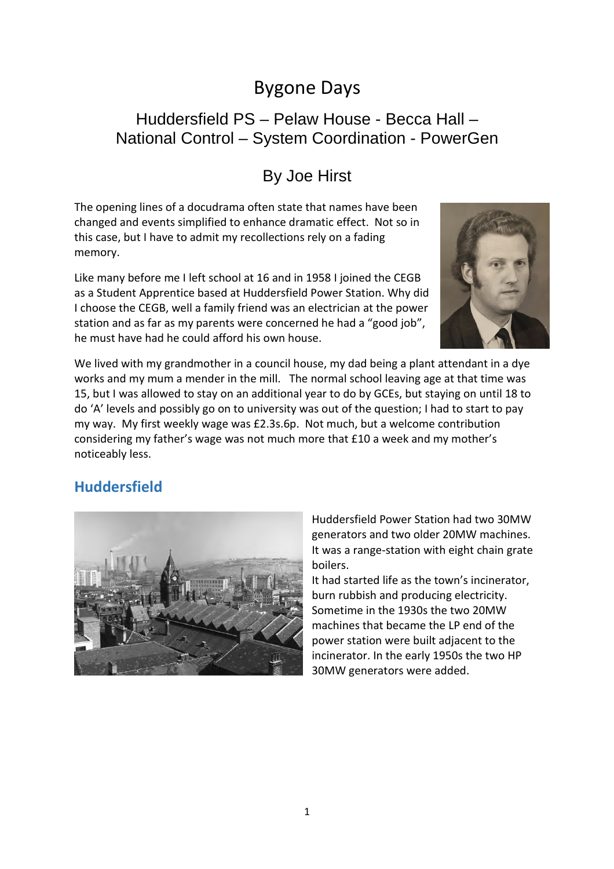# Bygone Days

## Huddersfield PS – Pelaw House - Becca Hall – National Control *–* System Coordination - PowerGen

# By Joe Hirst

The opening lines of a docudrama often state that names have been changed and events simplified to enhance dramatic effect. Not so in this case, but I have to admit my recollections rely on a fading memory.

Like many before me I left school at 16 and in 1958 I joined the CEGB as a Student Apprentice based at Huddersfield Power Station. Why did I choose the CEGB, well a family friend was an electrician at the power station and as far as my parents were concerned he had a "good job", he must have had he could afford his own house.



We lived with my grandmother in a council house, my dad being a plant attendant in a dye works and my mum a mender in the mill. The normal school leaving age at that time was 15, but I was allowed to stay on an additional year to do by GCEs, but staying on until 18 to do 'A' levels and possibly go on to university was out of the question; I had to start to pay my way. My first weekly wage was £2.3s.6p. Not much, but a welcome contribution considering my father's wage was not much more that £10 a week and my mother's noticeably less.

## **Huddersfield**



Huddersfield Power Station had two 30MW generators and two older 20MW machines. It was a range-station with eight chain grate boilers.

It had started life as the town's incinerator, burn rubbish and producing electricity. Sometime in the 1930s the two 20MW machines that became the LP end of the power station were built adjacent to the incinerator. In the early 1950s the two HP 30MW generators were added.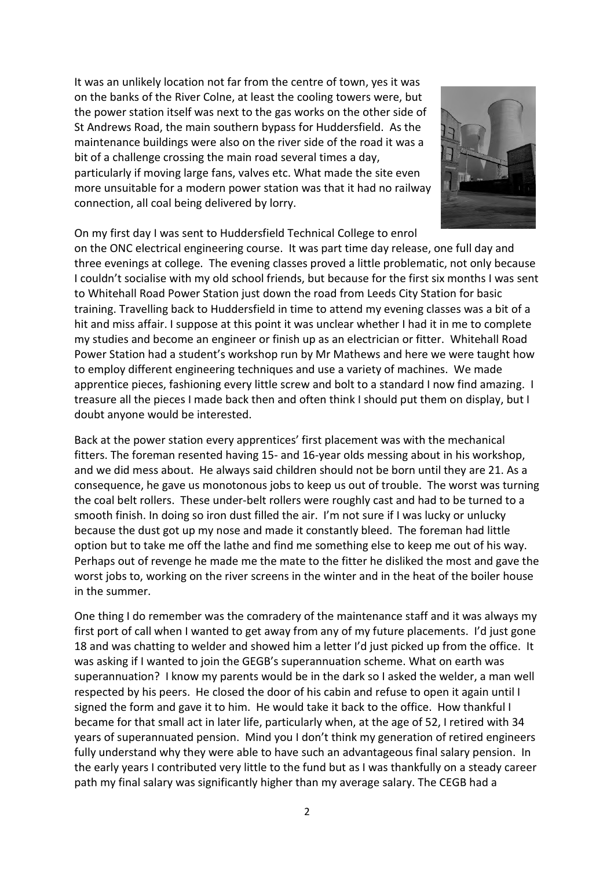It was an unlikely location not far from the centre of town, yes it was on the banks of the River Colne, at least the cooling towers were, but the power station itself was next to the gas works on the other side of St Andrews Road, the main southern bypass for Huddersfield. As the maintenance buildings were also on the river side of the road it was a bit of a challenge crossing the main road several times a day, particularly if moving large fans, valves etc. What made the site even more unsuitable for a modern power station was that it had no railway connection, all coal being delivered by lorry.



On my first day I was sent to Huddersfield Technical College to enrol

on the ONC electrical engineering course. It was part time day release, one full day and three evenings at college. The evening classes proved a little problematic, not only because I couldn't socialise with my old school friends, but because for the first six months I was sent to Whitehall Road Power Station just down the road from Leeds City Station for basic training. Travelling back to Huddersfield in time to attend my evening classes was a bit of a hit and miss affair. I suppose at this point it was unclear whether I had it in me to complete my studies and become an engineer or finish up as an electrician or fitter. Whitehall Road Power Station had a student's workshop run by Mr Mathews and here we were taught how to employ different engineering techniques and use a variety of machines. We made apprentice pieces, fashioning every little screw and bolt to a standard I now find amazing. I treasure all the pieces I made back then and often think I should put them on display, but I doubt anyone would be interested.

Back at the power station every apprentices' first placement was with the mechanical fitters. The foreman resented having 15- and 16-year olds messing about in his workshop, and we did mess about. He always said children should not be born until they are 21. As a consequence, he gave us monotonous jobs to keep us out of trouble. The worst was turning the coal belt rollers. These under-belt rollers were roughly cast and had to be turned to a smooth finish. In doing so iron dust filled the air. I'm not sure if I was lucky or unlucky because the dust got up my nose and made it constantly bleed. The foreman had little option but to take me off the lathe and find me something else to keep me out of his way. Perhaps out of revenge he made me the mate to the fitter he disliked the most and gave the worst jobs to, working on the river screens in the winter and in the heat of the boiler house in the summer.

One thing I do remember was the comradery of the maintenance staff and it was always my first port of call when I wanted to get away from any of my future placements. I'd just gone 18 and was chatting to welder and showed him a letter I'd just picked up from the office. It was asking if I wanted to join the GEGB's superannuation scheme. What on earth was superannuation? I know my parents would be in the dark so I asked the welder, a man well respected by his peers. He closed the door of his cabin and refuse to open it again until I signed the form and gave it to him. He would take it back to the office. How thankful I became for that small act in later life, particularly when, at the age of 52, I retired with 34 years of superannuated pension. Mind you I don't think my generation of retired engineers fully understand why they were able to have such an advantageous final salary pension. In the early years I contributed very little to the fund but as I was thankfully on a steady career path my final salary was significantly higher than my average salary. The CEGB had a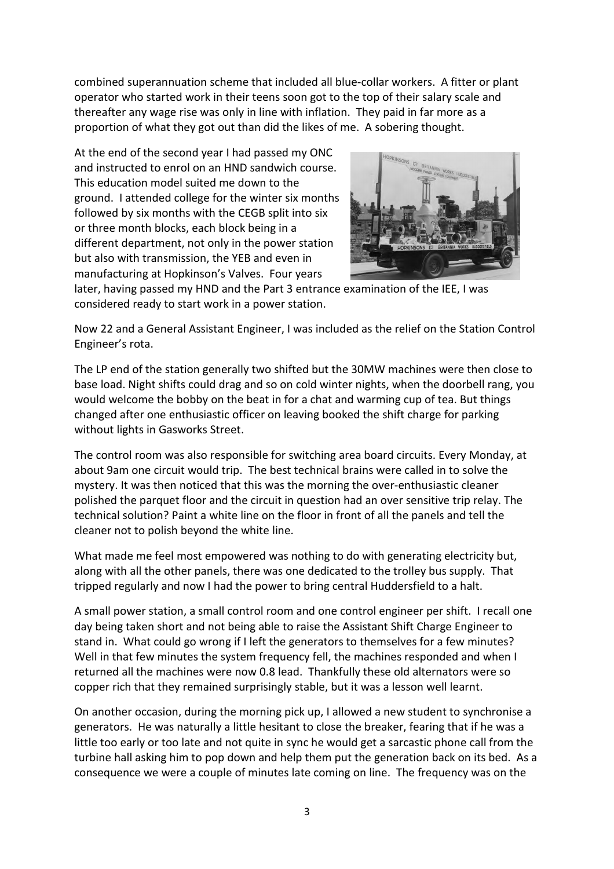combined superannuation scheme that included all blue-collar workers. A fitter or plant operator who started work in their teens soon got to the top of their salary scale and thereafter any wage rise was only in line with inflation. They paid in far more as a proportion of what they got out than did the likes of me. A sobering thought.

At the end of the second year I had passed my ONC and instructed to enrol on an HND sandwich course. This education model suited me down to the ground. I attended college for the winter six months followed by six months with the CEGB split into six or three month blocks, each block being in a different department, not only in the power station but also with transmission, the YEB and even in manufacturing at Hopkinson's Valves. Four years



later, having passed my HND and the Part 3 entrance examination of the IEE, I was considered ready to start work in a power station.

Now 22 and a General Assistant Engineer, I was included as the relief on the Station Control Engineer's rota.

The LP end of the station generally two shifted but the 30MW machines were then close to base load. Night shifts could drag and so on cold winter nights, when the doorbell rang, you would welcome the bobby on the beat in for a chat and warming cup of tea. But things changed after one enthusiastic officer on leaving booked the shift charge for parking without lights in Gasworks Street.

The control room was also responsible for switching area board circuits. Every Monday, at about 9am one circuit would trip. The best technical brains were called in to solve the mystery. It was then noticed that this was the morning the over-enthusiastic cleaner polished the parquet floor and the circuit in question had an over sensitive trip relay. The technical solution? Paint a white line on the floor in front of all the panels and tell the cleaner not to polish beyond the white line.

What made me feel most empowered was nothing to do with generating electricity but, along with all the other panels, there was one dedicated to the trolley bus supply. That tripped regularly and now I had the power to bring central Huddersfield to a halt.

A small power station, a small control room and one control engineer per shift. I recall one day being taken short and not being able to raise the Assistant Shift Charge Engineer to stand in. What could go wrong if I left the generators to themselves for a few minutes? Well in that few minutes the system frequency fell, the machines responded and when I returned all the machines were now 0.8 lead. Thankfully these old alternators were so copper rich that they remained surprisingly stable, but it was a lesson well learnt.

On another occasion, during the morning pick up, I allowed a new student to synchronise a generators. He was naturally a little hesitant to close the breaker, fearing that if he was a little too early or too late and not quite in sync he would get a sarcastic phone call from the turbine hall asking him to pop down and help them put the generation back on its bed. As a consequence we were a couple of minutes late coming on line. The frequency was on the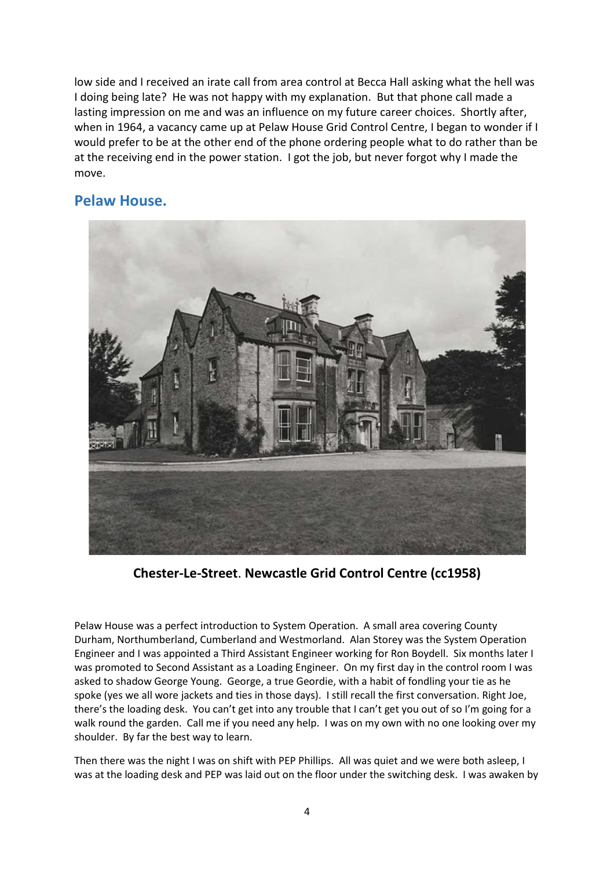low side and I received an irate call from area control at Becca Hall asking what the hell was I doing being late? He was not happy with my explanation. But that phone call made a lasting impression on me and was an influence on my future career choices. Shortly after, when in 1964, a vacancy came up at Pelaw House Grid Control Centre, I began to wonder if I would prefer to be at the other end of the phone ordering people what to do rather than be at the receiving end in the power station. I got the job, but never forgot why I made the move.

### **Pelaw House.**



**Chester-Le-Street**. **Newcastle Grid Control Centre (cc1958)**

Pelaw House was a perfect introduction to System Operation. A small area covering County Durham, Northumberland, Cumberland and Westmorland. Alan Storey was the System Operation Engineer and I was appointed a Third Assistant Engineer working for Ron Boydell. Six months later I was promoted to Second Assistant as a Loading Engineer. On my first day in the control room I was asked to shadow George Young. George, a true Geordie, with a habit of fondling your tie as he spoke (yes we all wore jackets and ties in those days). I still recall the first conversation. Right Joe, there's the loading desk. You can't get into any trouble that I can't get you out of so I'm going for a walk round the garden. Call me if you need any help. I was on my own with no one looking over my shoulder. By far the best way to learn.

Then there was the night I was on shift with PEP Phillips. All was quiet and we were both asleep, I was at the loading desk and PEP was laid out on the floor under the switching desk. I was awaken by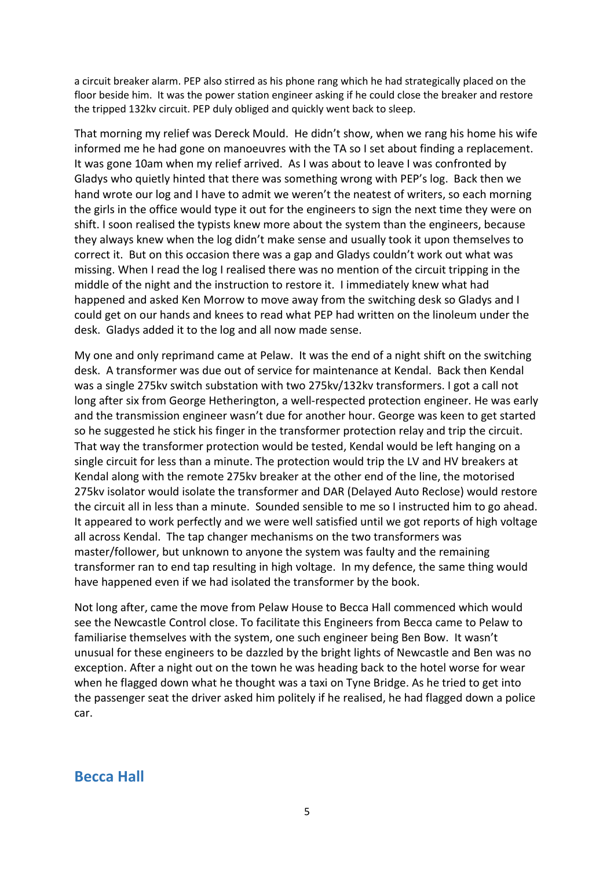a circuit breaker alarm. PEP also stirred as his phone rang which he had strategically placed on the floor beside him. It was the power station engineer asking if he could close the breaker and restore the tripped 132kv circuit. PEP duly obliged and quickly went back to sleep.

That morning my relief was Dereck Mould. He didn't show, when we rang his home his wife informed me he had gone on manoeuvres with the TA so I set about finding a replacement. It was gone 10am when my relief arrived. As I was about to leave I was confronted by Gladys who quietly hinted that there was something wrong with PEP's log. Back then we hand wrote our log and I have to admit we weren't the neatest of writers, so each morning the girls in the office would type it out for the engineers to sign the next time they were on shift. I soon realised the typists knew more about the system than the engineers, because they always knew when the log didn't make sense and usually took it upon themselves to correct it. But on this occasion there was a gap and Gladys couldn't work out what was missing. When I read the log I realised there was no mention of the circuit tripping in the middle of the night and the instruction to restore it. I immediately knew what had happened and asked Ken Morrow to move away from the switching desk so Gladys and I could get on our hands and knees to read what PEP had written on the linoleum under the desk. Gladys added it to the log and all now made sense.

My one and only reprimand came at Pelaw. It was the end of a night shift on the switching desk. A transformer was due out of service for maintenance at Kendal. Back then Kendal was a single 275kv switch substation with two 275kv/132kv transformers. I got a call not long after six from George Hetherington, a well-respected protection engineer. He was early and the transmission engineer wasn't due for another hour. George was keen to get started so he suggested he stick his finger in the transformer protection relay and trip the circuit. That way the transformer protection would be tested, Kendal would be left hanging on a single circuit for less than a minute. The protection would trip the LV and HV breakers at Kendal along with the remote 275kv breaker at the other end of the line, the motorised 275kv isolator would isolate the transformer and DAR (Delayed Auto Reclose) would restore the circuit all in less than a minute. Sounded sensible to me so I instructed him to go ahead. It appeared to work perfectly and we were well satisfied until we got reports of high voltage all across Kendal. The tap changer mechanisms on the two transformers was master/follower, but unknown to anyone the system was faulty and the remaining transformer ran to end tap resulting in high voltage. In my defence, the same thing would have happened even if we had isolated the transformer by the book.

Not long after, came the move from Pelaw House to Becca Hall commenced which would see the Newcastle Control close. To facilitate this Engineers from Becca came to Pelaw to familiarise themselves with the system, one such engineer being Ben Bow. It wasn't unusual for these engineers to be dazzled by the bright lights of Newcastle and Ben was no exception. After a night out on the town he was heading back to the hotel worse for wear when he flagged down what he thought was a taxi on Tyne Bridge. As he tried to get into the passenger seat the driver asked him politely if he realised, he had flagged down a police car.

#### **Becca Hall**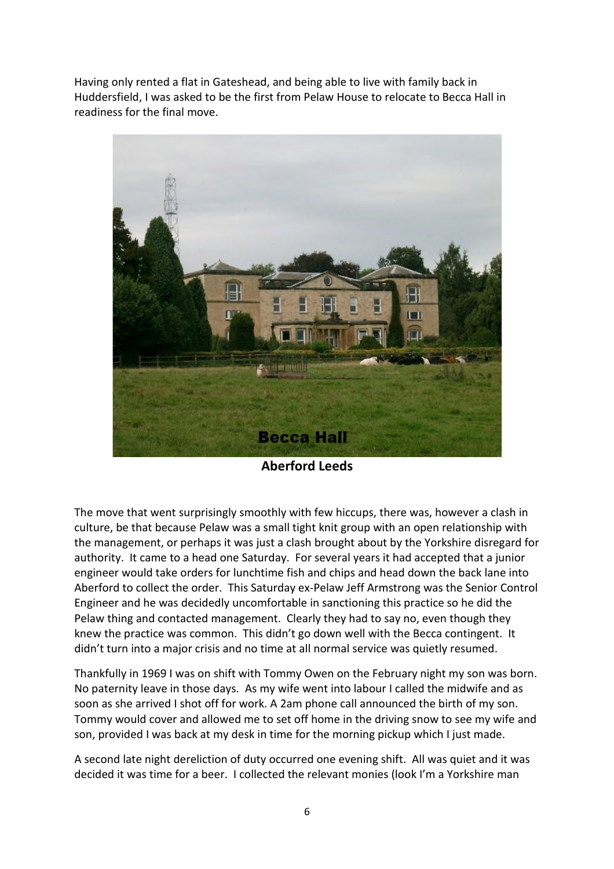Having only rented a flat in Gateshead, and being able to live with family back in Huddersfield, I was asked to be the first from Pelaw House to relocate to Becca Hall in readiness for the final move.



**Aberford Leeds**

The move that went surprisingly smoothly with few hiccups, there was, however a clash in culture, be that because Pelaw was a small tight knit group with an open relationship with the management, or perhaps it was just a clash brought about by the Yorkshire disregard for authority. It came to a head one Saturday. For several years it had accepted that a junior engineer would take orders for lunchtime fish and chips and head down the back lane into Aberford to collect the order. This Saturday ex-Pelaw Jeff Armstrong was the Senior Control Engineer and he was decidedly uncomfortable in sanctioning this practice so he did the Pelaw thing and contacted management. Clearly they had to say no, even though they knew the practice was common. This didn't go down well with the Becca contingent. It didn't turn into a major crisis and no time at all normal service was quietly resumed.

Thankfully in 1969 I was on shift with Tommy Owen on the February night my son was born. No paternity leave in those days. As my wife went into labour I called the midwife and as soon as she arrived I shot off for work. A 2am phone call announced the birth of my son. Tommy would cover and allowed me to set off home in the driving snow to see my wife and son, provided I was back at my desk in time for the morning pickup which I just made.

A second late night dereliction of duty occurred one evening shift. All was quiet and it was decided it was time for a beer. I collected the relevant monies (look I'm a Yorkshire man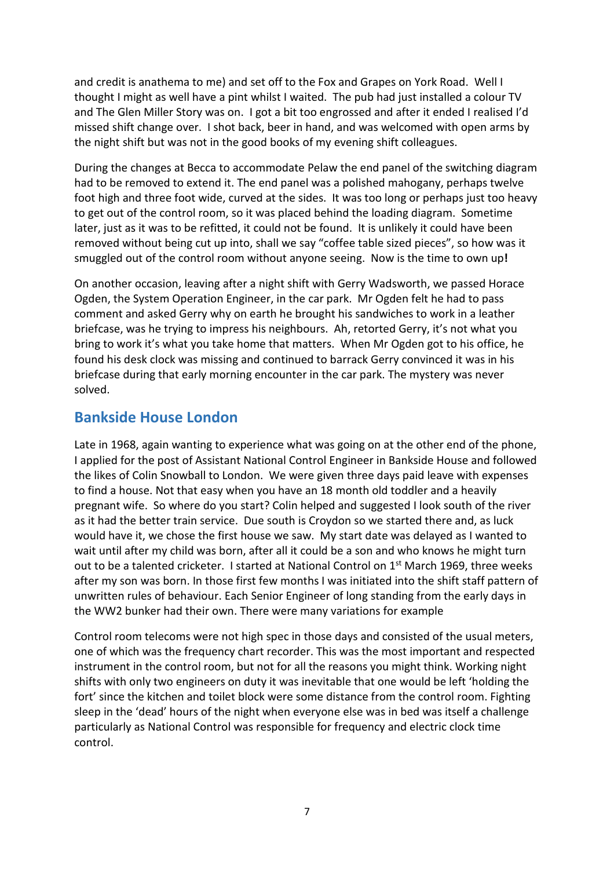and credit is anathema to me) and set off to the Fox and Grapes on York Road. Well I thought I might as well have a pint whilst I waited. The pub had just installed a colour TV and The Glen Miller Story was on. I got a bit too engrossed and after it ended I realised I'd missed shift change over. I shot back, beer in hand, and was welcomed with open arms by the night shift but was not in the good books of my evening shift colleagues.

During the changes at Becca to accommodate Pelaw the end panel of the switching diagram had to be removed to extend it. The end panel was a polished mahogany, perhaps twelve foot high and three foot wide, curved at the sides. It was too long or perhaps just too heavy to get out of the control room, so it was placed behind the loading diagram. Sometime later, just as it was to be refitted, it could not be found. It is unlikely it could have been removed without being cut up into, shall we say "coffee table sized pieces", so how was it smuggled out of the control room without anyone seeing. Now is the time to own up**!**

On another occasion, leaving after a night shift with Gerry Wadsworth, we passed Horace Ogden, the System Operation Engineer, in the car park. Mr Ogden felt he had to pass comment and asked Gerry why on earth he brought his sandwiches to work in a leather briefcase, was he trying to impress his neighbours. Ah, retorted Gerry, it's not what you bring to work it's what you take home that matters. When Mr Ogden got to his office, he found his desk clock was missing and continued to barrack Gerry convinced it was in his briefcase during that early morning encounter in the car park. The mystery was never solved.

### **Bankside House London**

Late in 1968, again wanting to experience what was going on at the other end of the phone, I applied for the post of Assistant National Control Engineer in Bankside House and followed the likes of Colin Snowball to London. We were given three days paid leave with expenses to find a house. Not that easy when you have an 18 month old toddler and a heavily pregnant wife. So where do you start? Colin helped and suggested I look south of the river as it had the better train service. Due south is Croydon so we started there and, as luck would have it, we chose the first house we saw. My start date was delayed as I wanted to wait until after my child was born, after all it could be a son and who knows he might turn out to be a talented cricketer. I started at National Control on 1<sup>st</sup> March 1969, three weeks after my son was born. In those first few months I was initiated into the shift staff pattern of unwritten rules of behaviour. Each Senior Engineer of long standing from the early days in the WW2 bunker had their own. There were many variations for example

Control room telecoms were not high spec in those days and consisted of the usual meters, one of which was the frequency chart recorder. This was the most important and respected instrument in the control room, but not for all the reasons you might think. Working night shifts with only two engineers on duty it was inevitable that one would be left 'holding the fort' since the kitchen and toilet block were some distance from the control room. Fighting sleep in the 'dead' hours of the night when everyone else was in bed was itself a challenge particularly as National Control was responsible for frequency and electric clock time control.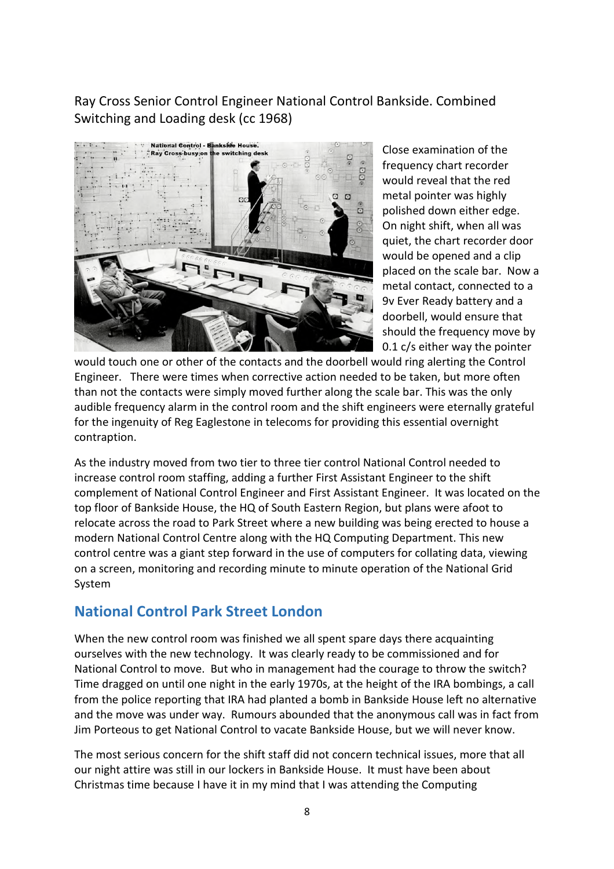Ray Cross Senior Control Engineer National Control Bankside. Combined Switching and Loading desk (cc 1968)



Close examination of the frequency chart recorder would reveal that the red metal pointer was highly polished down either edge. On night shift, when all was quiet, the chart recorder door would be opened and a clip placed on the scale bar. Now a metal contact, connected to a 9v Ever Ready battery and a doorbell, would ensure that should the frequency move by 0.1 c/s either way the pointer

would touch one or other of the contacts and the doorbell would ring alerting the Control Engineer. There were times when corrective action needed to be taken, but more often than not the contacts were simply moved further along the scale bar. This was the only audible frequency alarm in the control room and the shift engineers were eternally grateful for the ingenuity of Reg Eaglestone in telecoms for providing this essential overnight contraption.

As the industry moved from two tier to three tier control National Control needed to increase control room staffing, adding a further First Assistant Engineer to the shift complement of National Control Engineer and First Assistant Engineer. It was located on the top floor of Bankside House, the HQ of South Eastern Region, but plans were afoot to relocate across the road to Park Street where a new building was being erected to house a modern National Control Centre along with the HQ Computing Department. This new control centre was a giant step forward in the use of computers for collating data, viewing on a screen, monitoring and recording minute to minute operation of the National Grid System

## **National Control Park Street London**

When the new control room was finished we all spent spare days there acquainting ourselves with the new technology. It was clearly ready to be commissioned and for National Control to move. But who in management had the courage to throw the switch? Time dragged on until one night in the early 1970s, at the height of the IRA bombings, a call from the police reporting that IRA had planted a bomb in Bankside House left no alternative and the move was under way. Rumours abounded that the anonymous call was in fact from Jim Porteous to get National Control to vacate Bankside House, but we will never know.

The most serious concern for the shift staff did not concern technical issues, more that all our night attire was still in our lockers in Bankside House. It must have been about Christmas time because I have it in my mind that I was attending the Computing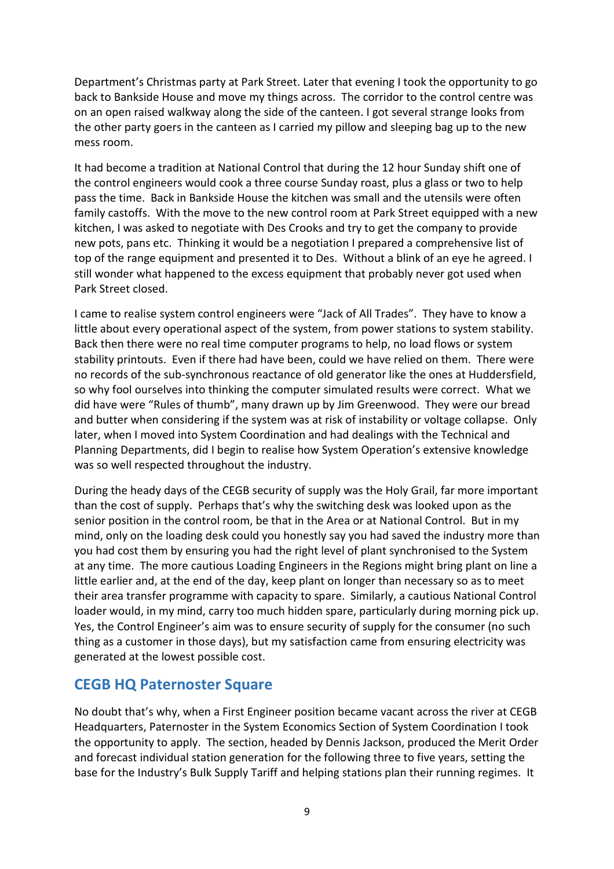Department's Christmas party at Park Street. Later that evening I took the opportunity to go back to Bankside House and move my things across. The corridor to the control centre was on an open raised walkway along the side of the canteen. I got several strange looks from the other party goers in the canteen as I carried my pillow and sleeping bag up to the new mess room.

It had become a tradition at National Control that during the 12 hour Sunday shift one of the control engineers would cook a three course Sunday roast, plus a glass or two to help pass the time. Back in Bankside House the kitchen was small and the utensils were often family castoffs. With the move to the new control room at Park Street equipped with a new kitchen, I was asked to negotiate with Des Crooks and try to get the company to provide new pots, pans etc. Thinking it would be a negotiation I prepared a comprehensive list of top of the range equipment and presented it to Des. Without a blink of an eye he agreed. I still wonder what happened to the excess equipment that probably never got used when Park Street closed.

I came to realise system control engineers were "Jack of All Trades". They have to know a little about every operational aspect of the system, from power stations to system stability. Back then there were no real time computer programs to help, no load flows or system stability printouts. Even if there had have been, could we have relied on them. There were no records of the sub-synchronous reactance of old generator like the ones at Huddersfield, so why fool ourselves into thinking the computer simulated results were correct. What we did have were "Rules of thumb", many drawn up by Jim Greenwood. They were our bread and butter when considering if the system was at risk of instability or voltage collapse. Only later, when I moved into System Coordination and had dealings with the Technical and Planning Departments, did I begin to realise how System Operation's extensive knowledge was so well respected throughout the industry.

During the heady days of the CEGB security of supply was the Holy Grail, far more important than the cost of supply. Perhaps that's why the switching desk was looked upon as the senior position in the control room, be that in the Area or at National Control. But in my mind, only on the loading desk could you honestly say you had saved the industry more than you had cost them by ensuring you had the right level of plant synchronised to the System at any time. The more cautious Loading Engineers in the Regions might bring plant on line a little earlier and, at the end of the day, keep plant on longer than necessary so as to meet their area transfer programme with capacity to spare. Similarly, a cautious National Control loader would, in my mind, carry too much hidden spare, particularly during morning pick up. Yes, the Control Engineer's aim was to ensure security of supply for the consumer (no such thing as a customer in those days), but my satisfaction came from ensuring electricity was generated at the lowest possible cost.

#### **CEGB HQ Paternoster Square**

No doubt that's why, when a First Engineer position became vacant across the river at CEGB Headquarters, Paternoster in the System Economics Section of System Coordination I took the opportunity to apply. The section, headed by Dennis Jackson, produced the Merit Order and forecast individual station generation for the following three to five years, setting the base for the Industry's Bulk Supply Tariff and helping stations plan their running regimes. It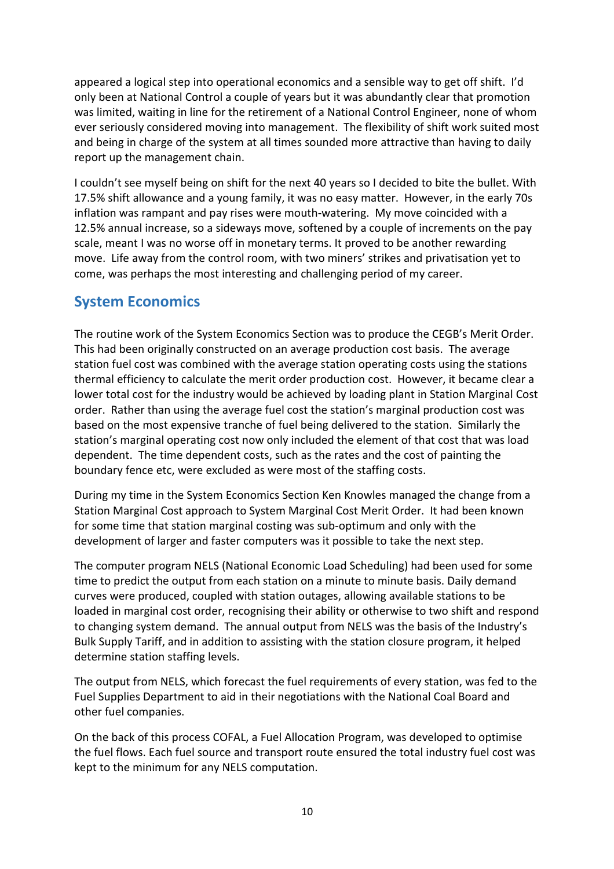appeared a logical step into operational economics and a sensible way to get off shift. I'd only been at National Control a couple of years but it was abundantly clear that promotion was limited, waiting in line for the retirement of a National Control Engineer, none of whom ever seriously considered moving into management. The flexibility of shift work suited most and being in charge of the system at all times sounded more attractive than having to daily report up the management chain.

I couldn't see myself being on shift for the next 40 years so I decided to bite the bullet. With 17.5% shift allowance and a young family, it was no easy matter. However, in the early 70s inflation was rampant and pay rises were mouth-watering. My move coincided with a 12.5% annual increase, so a sideways move, softened by a couple of increments on the pay scale, meant I was no worse off in monetary terms. It proved to be another rewarding move. Life away from the control room, with two miners' strikes and privatisation yet to come, was perhaps the most interesting and challenging period of my career.

## **System Economics**

The routine work of the System Economics Section was to produce the CEGB's Merit Order. This had been originally constructed on an average production cost basis. The average station fuel cost was combined with the average station operating costs using the stations thermal efficiency to calculate the merit order production cost. However, it became clear a lower total cost for the industry would be achieved by loading plant in Station Marginal Cost order. Rather than using the average fuel cost the station's marginal production cost was based on the most expensive tranche of fuel being delivered to the station. Similarly the station's marginal operating cost now only included the element of that cost that was load dependent. The time dependent costs, such as the rates and the cost of painting the boundary fence etc, were excluded as were most of the staffing costs.

During my time in the System Economics Section Ken Knowles managed the change from a Station Marginal Cost approach to System Marginal Cost Merit Order. It had been known for some time that station marginal costing was sub-optimum and only with the development of larger and faster computers was it possible to take the next step.

The computer program NELS (National Economic Load Scheduling) had been used for some time to predict the output from each station on a minute to minute basis. Daily demand curves were produced, coupled with station outages, allowing available stations to be loaded in marginal cost order, recognising their ability or otherwise to two shift and respond to changing system demand. The annual output from NELS was the basis of the Industry's Bulk Supply Tariff, and in addition to assisting with the station closure program, it helped determine station staffing levels.

The output from NELS, which forecast the fuel requirements of every station, was fed to the Fuel Supplies Department to aid in their negotiations with the National Coal Board and other fuel companies.

On the back of this process COFAL, a Fuel Allocation Program, was developed to optimise the fuel flows. Each fuel source and transport route ensured the total industry fuel cost was kept to the minimum for any NELS computation.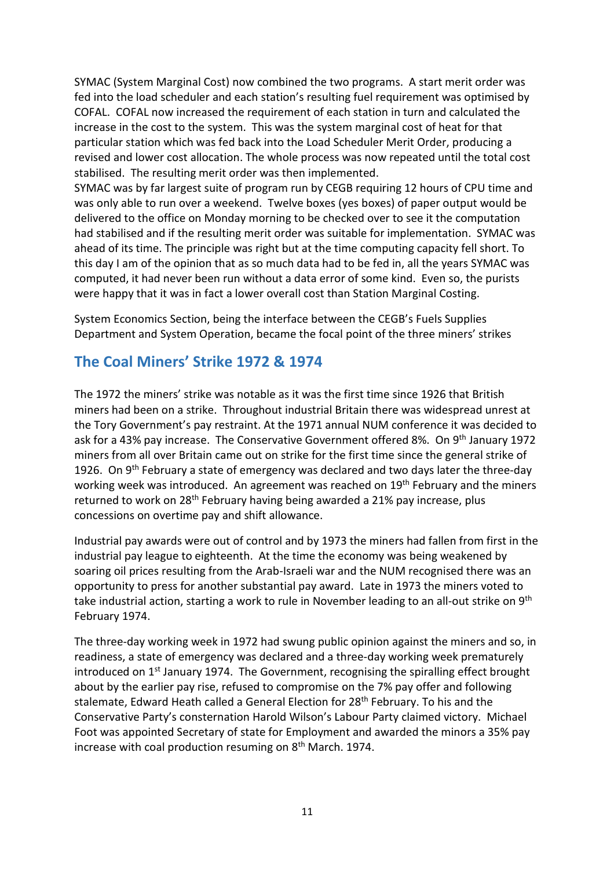SYMAC (System Marginal Cost) now combined the two programs. A start merit order was fed into the load scheduler and each station's resulting fuel requirement was optimised by COFAL. COFAL now increased the requirement of each station in turn and calculated the increase in the cost to the system. This was the system marginal cost of heat for that particular station which was fed back into the Load Scheduler Merit Order, producing a revised and lower cost allocation. The whole process was now repeated until the total cost stabilised. The resulting merit order was then implemented.

SYMAC was by far largest suite of program run by CEGB requiring 12 hours of CPU time and was only able to run over a weekend. Twelve boxes (yes boxes) of paper output would be delivered to the office on Monday morning to be checked over to see it the computation had stabilised and if the resulting merit order was suitable for implementation. SYMAC was ahead of its time. The principle was right but at the time computing capacity fell short. To this day I am of the opinion that as so much data had to be fed in, all the years SYMAC was computed, it had never been run without a data error of some kind. Even so, the purists were happy that it was in fact a lower overall cost than Station Marginal Costing.

System Economics Section, being the interface between the CEGB's Fuels Supplies Department and System Operation, became the focal point of the three miners' strikes

## **The Coal Miners' Strike 1972 & 1974**

The 1972 the miners' strike was notable as it was the first time since 1926 that British miners had been on a strike. Throughout industrial Britain there was widespread unrest at the Tory Government's pay restraint. At the 1971 annual NUM conference it was decided to ask for a 43% pay increase. The Conservative Government offered 8%. On 9<sup>th</sup> January 1972 miners from all over Britain came out on strike for the first time since the general strike of 1926. On 9<sup>th</sup> February a state of emergency was declared and two days later the three-day working week was introduced. An agreement was reached on 19<sup>th</sup> February and the miners returned to work on 28<sup>th</sup> February having being awarded a 21% pay increase, plus concessions on overtime pay and shift allowance.

Industrial pay awards were out of control and by 1973 the miners had fallen from first in the industrial pay league to eighteenth. At the time the economy was being weakened by soaring oil prices resulting from the Arab-Israeli war and the NUM recognised there was an opportunity to press for another substantial pay award. Late in 1973 the miners voted to take industrial action, starting a work to rule in November leading to an all-out strike on 9<sup>th</sup> February 1974.

The three-day working week in 1972 had swung public opinion against the miners and so, in readiness, a state of emergency was declared and a three-day working week prematurely introduced on 1<sup>st</sup> January 1974. The Government, recognising the spiralling effect brought about by the earlier pay rise, refused to compromise on the 7% pay offer and following stalemate, Edward Heath called a General Election for 28<sup>th</sup> February. To his and the Conservative Party's consternation Harold Wilson's Labour Party claimed victory. Michael Foot was appointed Secretary of state for Employment and awarded the minors a 35% pay increase with coal production resuming on 8<sup>th</sup> March. 1974.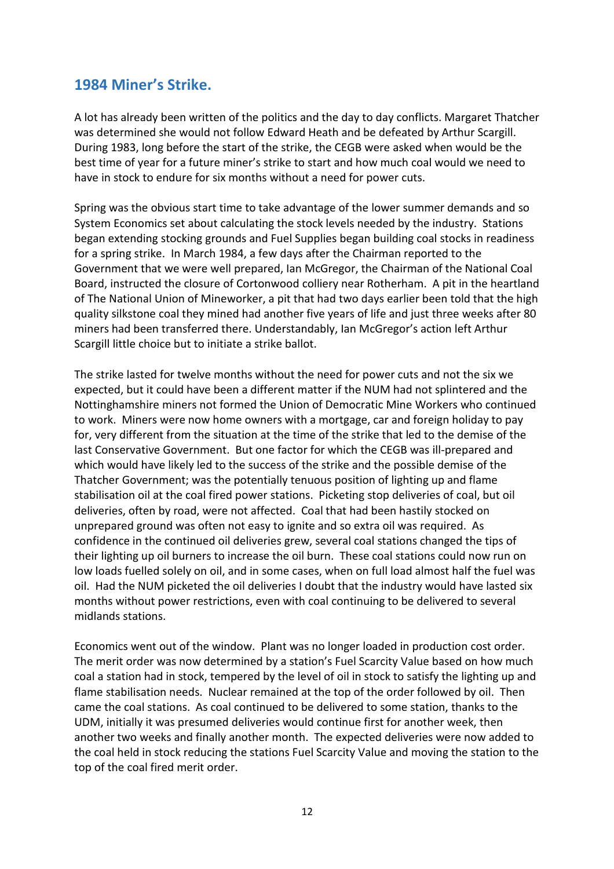### **1984 Miner's Strike.**

A lot has already been written of the politics and the day to day conflicts. Margaret Thatcher was determined she would not follow Edward Heath and be defeated by Arthur Scargill. During 1983, long before the start of the strike, the CEGB were asked when would be the best time of year for a future miner's strike to start and how much coal would we need to have in stock to endure for six months without a need for power cuts.

Spring was the obvious start time to take advantage of the lower summer demands and so System Economics set about calculating the stock levels needed by the industry. Stations began extending stocking grounds and Fuel Supplies began building coal stocks in readiness for a spring strike. In March 1984, a few days after the Chairman reported to the Government that we were well prepared, Ian McGregor, the Chairman of the National Coal Board, instructed the closure of Cortonwood colliery near Rotherham. A pit in the heartland of The National Union of Mineworker, a pit that had two days earlier been told that the high quality silkstone coal they mined had another five years of life and just three weeks after 80 miners had been transferred there. Understandably, Ian McGregor's action left Arthur Scargill little choice but to initiate a strike ballot.

The strike lasted for twelve months without the need for power cuts and not the six we expected, but it could have been a different matter if the NUM had not splintered and the Nottinghamshire miners not formed the Union of Democratic Mine Workers who continued to work. Miners were now home owners with a mortgage, car and foreign holiday to pay for, very different from the situation at the time of the strike that led to the demise of the last Conservative Government. But one factor for which the CEGB was ill-prepared and which would have likely led to the success of the strike and the possible demise of the Thatcher Government; was the potentially tenuous position of lighting up and flame stabilisation oil at the coal fired power stations. Picketing stop deliveries of coal, but oil deliveries, often by road, were not affected. Coal that had been hastily stocked on unprepared ground was often not easy to ignite and so extra oil was required. As confidence in the continued oil deliveries grew, several coal stations changed the tips of their lighting up oil burners to increase the oil burn. These coal stations could now run on low loads fuelled solely on oil, and in some cases, when on full load almost half the fuel was oil. Had the NUM picketed the oil deliveries I doubt that the industry would have lasted six months without power restrictions, even with coal continuing to be delivered to several midlands stations.

Economics went out of the window. Plant was no longer loaded in production cost order. The merit order was now determined by a station's Fuel Scarcity Value based on how much coal a station had in stock, tempered by the level of oil in stock to satisfy the lighting up and flame stabilisation needs. Nuclear remained at the top of the order followed by oil. Then came the coal stations. As coal continued to be delivered to some station, thanks to the UDM, initially it was presumed deliveries would continue first for another week, then another two weeks and finally another month. The expected deliveries were now added to the coal held in stock reducing the stations Fuel Scarcity Value and moving the station to the top of the coal fired merit order.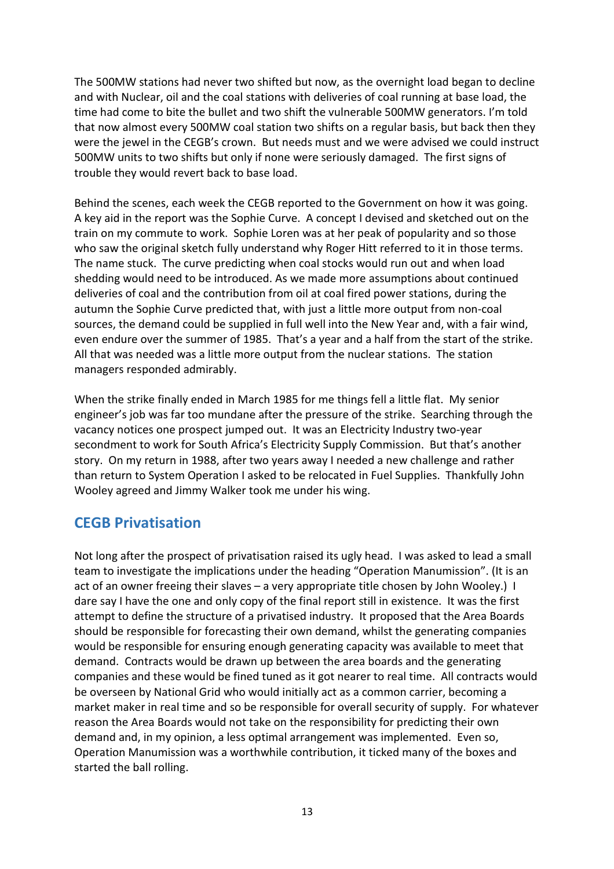The 500MW stations had never two shifted but now, as the overnight load began to decline and with Nuclear, oil and the coal stations with deliveries of coal running at base load, the time had come to bite the bullet and two shift the vulnerable 500MW generators. I'm told that now almost every 500MW coal station two shifts on a regular basis, but back then they were the jewel in the CEGB's crown. But needs must and we were advised we could instruct 500MW units to two shifts but only if none were seriously damaged. The first signs of trouble they would revert back to base load.

Behind the scenes, each week the CEGB reported to the Government on how it was going. A key aid in the report was the Sophie Curve. A concept I devised and sketched out on the train on my commute to work. Sophie Loren was at her peak of popularity and so those who saw the original sketch fully understand why Roger Hitt referred to it in those terms. The name stuck. The curve predicting when coal stocks would run out and when load shedding would need to be introduced. As we made more assumptions about continued deliveries of coal and the contribution from oil at coal fired power stations, during the autumn the Sophie Curve predicted that, with just a little more output from non-coal sources, the demand could be supplied in full well into the New Year and, with a fair wind, even endure over the summer of 1985. That's a year and a half from the start of the strike. All that was needed was a little more output from the nuclear stations. The station managers responded admirably.

When the strike finally ended in March 1985 for me things fell a little flat. My senior engineer's job was far too mundane after the pressure of the strike. Searching through the vacancy notices one prospect jumped out. It was an Electricity Industry two-year secondment to work for South Africa's Electricity Supply Commission. But that's another story. On my return in 1988, after two years away I needed a new challenge and rather than return to System Operation I asked to be relocated in Fuel Supplies. Thankfully John Wooley agreed and Jimmy Walker took me under his wing.

## **CEGB Privatisation**

Not long after the prospect of privatisation raised its ugly head. I was asked to lead a small team to investigate the implications under the heading "Operation Manumission". (It is an act of an owner freeing their slaves – a very appropriate title chosen by John Wooley.) I dare say I have the one and only copy of the final report still in existence. It was the first attempt to define the structure of a privatised industry. It proposed that the Area Boards should be responsible for forecasting their own demand, whilst the generating companies would be responsible for ensuring enough generating capacity was available to meet that demand. Contracts would be drawn up between the area boards and the generating companies and these would be fined tuned as it got nearer to real time. All contracts would be overseen by National Grid who would initially act as a common carrier, becoming a market maker in real time and so be responsible for overall security of supply. For whatever reason the Area Boards would not take on the responsibility for predicting their own demand and, in my opinion, a less optimal arrangement was implemented. Even so, Operation Manumission was a worthwhile contribution, it ticked many of the boxes and started the ball rolling.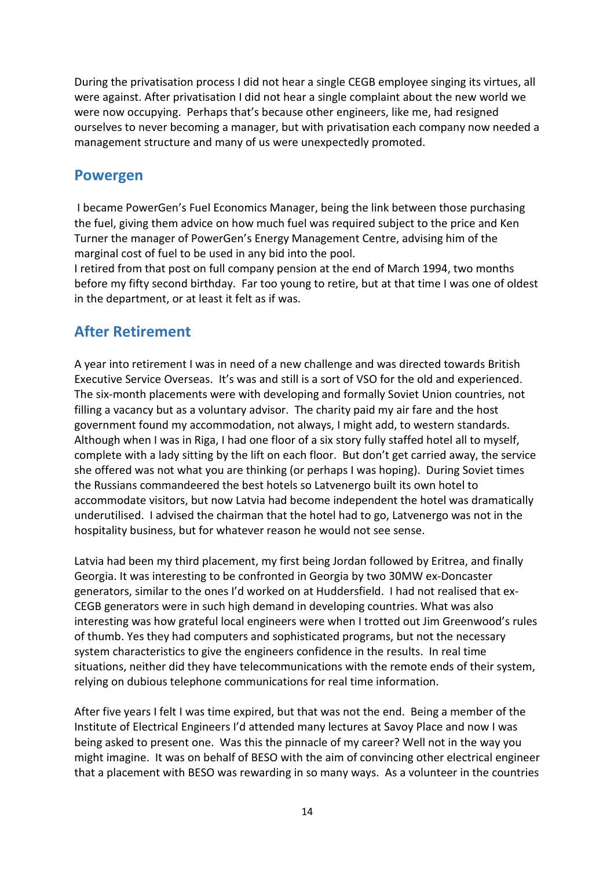During the privatisation process I did not hear a single CEGB employee singing its virtues, all were against. After privatisation I did not hear a single complaint about the new world we were now occupying. Perhaps that's because other engineers, like me, had resigned ourselves to never becoming a manager, but with privatisation each company now needed a management structure and many of us were unexpectedly promoted.

## **Powergen**

I became PowerGen's Fuel Economics Manager, being the link between those purchasing the fuel, giving them advice on how much fuel was required subject to the price and Ken Turner the manager of PowerGen's Energy Management Centre, advising him of the marginal cost of fuel to be used in any bid into the pool.

I retired from that post on full company pension at the end of March 1994, two months before my fifty second birthday. Far too young to retire, but at that time I was one of oldest in the department, or at least it felt as if was.

## **After Retirement**

A year into retirement I was in need of a new challenge and was directed towards British Executive Service Overseas. It's was and still is a sort of VSO for the old and experienced. The six-month placements were with developing and formally Soviet Union countries, not filling a vacancy but as a voluntary advisor. The charity paid my air fare and the host government found my accommodation, not always, I might add, to western standards. Although when I was in Riga, I had one floor of a six story fully staffed hotel all to myself, complete with a lady sitting by the lift on each floor. But don't get carried away, the service she offered was not what you are thinking (or perhaps I was hoping). During Soviet times the Russians commandeered the best hotels so Latvenergo built its own hotel to accommodate visitors, but now Latvia had become independent the hotel was dramatically underutilised. I advised the chairman that the hotel had to go, Latvenergo was not in the hospitality business, but for whatever reason he would not see sense.

Latvia had been my third placement, my first being Jordan followed by Eritrea, and finally Georgia. It was interesting to be confronted in Georgia by two 30MW ex-Doncaster generators, similar to the ones I'd worked on at Huddersfield. I had not realised that ex-CEGB generators were in such high demand in developing countries. What was also interesting was how grateful local engineers were when I trotted out Jim Greenwood's rules of thumb. Yes they had computers and sophisticated programs, but not the necessary system characteristics to give the engineers confidence in the results. In real time situations, neither did they have telecommunications with the remote ends of their system, relying on dubious telephone communications for real time information.

After five years I felt I was time expired, but that was not the end. Being a member of the Institute of Electrical Engineers I'd attended many lectures at Savoy Place and now I was being asked to present one. Was this the pinnacle of my career? Well not in the way you might imagine. It was on behalf of BESO with the aim of convincing other electrical engineer that a placement with BESO was rewarding in so many ways. As a volunteer in the countries